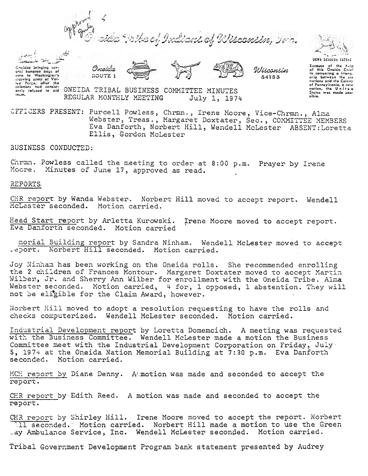



Cheidos bringing sov-





Wisconsin 54i55



Bacausa of the help<br>of this Oneida Chief<br>in cementing a frienaship between the six nctions and the Coiony of Pennsylvania, a new<br>nation, the Unite a<br>States was mode pos-<br>sibie.

(or in the Westhington's continued begs. of<br>the Westhington's row of Veil,<br>the Colonists hed consist-<br>environed to sid ONETDA TRIBAL BUSINESS COMMITTEE MINUTES ,n.m. REGULAR MONTHLY MEE'I'ING July 1) 1971+

Oneida ROUTE 1

CFFICERS PRESENT: Purcell Powless, Chrmn., Irene Moore, Vice-Chrmn., Alma Webster, Treas., Margaret Doxtater, Sec., COMMITTEE MEMBERS Eva Danforth, Norbert Hill, Wendell McLester ABSENT:Loretta Ellis, Gordon McLester

BUSINESS CONDUCTED:

Chrmn. Powless called the meeting to order at 8:00 p.m. Prayer by Iren Moore. Minutes of June 17, approved as read.

REPORTS

 $\tt CER$  report by Wanda Webster. Norbert Hill moved to accept report. Wendel McLester seconded. Motion carried.

Head Start report by Arletta Kurowski. Irene Moore moved to accept repo Eva Danforth seconded. Motion carried

morial Building report by Sandra Ninham. Wendell McLester moved to accept .eport. Norbert Hill seconded. Motion carried.

Joy Ninham has been working on the Oneida rolls. She recommended enrolling the 2 children of Frances Montour. Margaret Doxtater moved to accept Martin Wilber, Jr. and Sherry Ann Wilber for enrollment with the Oneida Tribe. Alma Webster seconded. Motion carried, 4 for, 1 opposed, 1 abstention. They will not be eligible for the Claim Award, however.

Norbert Hill moved to adopt a resolution requesting to have the rolls and checks computerized. Wendell McLester seconded. Motion carried.

Industrial Development report by Loretta Domemcich. A meeting was requested with the Business Committee. Wendell McLester made a motion the Business Committee meet with the Industrial Development Corporation on Friday, July. 5, 1974 at the Oneida Nation Memorial Building at 7:30 p.m. Eva Danforth seconded. Motion carried.

MCH report by Diane Denny. A motion was made and seconded to accept the report.

CHR report by Edith Reed. A motion was made and seconded to accept the report.

CHR report by Shirley Hill. Irene Moore moved to accept the report. Norbert 11 seconded. Motion carried. Norbert Hill made a motion to use the Green \_ay A.wulance Service, Inc. Wendell McLester seconded. Motion carried.

Tribal Government Development Program bank statement presented by Audrey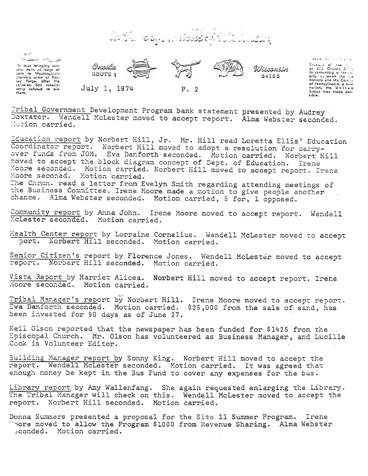e of Librarie A 100 Cours





 $\mathsf{diam}(\mathcal{X}_{\mathsf{G}})$  , if  $\mathcal{Y}_{\mathsf{G}}$  and

Decours of the A. in comenting a fricessale women. Colory nations the the condity<br>of Pennsylvania, a new<br>states was made pos-

Tribal Government Development Program bank statement presented by Audrey Doxtator. Wendell McLester moved to accept report. Alma Webster seconded. Motion carried.

Education report by Norbert Hill, Jr. Mr. Hill read Loretta Ellis' Education Coordinator report. Norbert Hill moved to adopt a resolution for carryover funds from JOM. Eva Danforth seconded. Motion carried. Norbert Hill moved to accept the block diagram concept of Dept. of Education. Irene Moore seconded. Motion carried. Norbert Hill moved to accept report. Irene Moore seconed. Motion carried. The Chrmn. read a letter from Evelyn Smith regarding attending meetings of the Business Committee. Irene Moore made a motion to give people another chance. Alma Webster seconded. Motion carried, 5 for, 1 opposed.

Community report by Anna John. Irene Moore moved to accept report. Wendell McLester seconded. Motion carried.

Health Center report by Lorraine Cornelius. Wendell McLester moved to accept port. Norbert Hill seconded. Motion carried.

Senior Citizen's report by Florence Jones. Wendell McLester moved to accept report. Norbert Hill seconded. Motion carried.

Vista Report by Harriet Alicea. Norbert Hill moved to accept report. Irene Moore seconded. Motion carried.

Tribal Manager's report by Norbert Hill. Irene Moore moved to accept report. Eva Danforth seconded. Motion carried. \$25,000 from the sale of sand, has been invested for 90 days as of June 27.

Neil Olson reported that the newspaper has been funded for \$1425 from the Episcopal Church. Mr. Olson has volunteered as Business Manager, and Lucille Cook is Volunteer Editor.

Building Manager report by Sonny King. Norbert Hill moved to accept the report. Wendell McLester seconded. Motion carried. It was agreed that enough money be kept in the Bus Fund to cover any expenses for the bus.

Library report by Amy Wallenfang. She again requested enlarging the Library. The Tribal Manager will check on this. Wendell McLester moved to accept the report. Norbert Hill seconded. Motion carried.

Donna Summers presented a proposal for the Site 11 Summer Program. Irene Thore moved to allow the Program \$1000 from Revenue Sharing. Alma Webster econded. Motion carried.